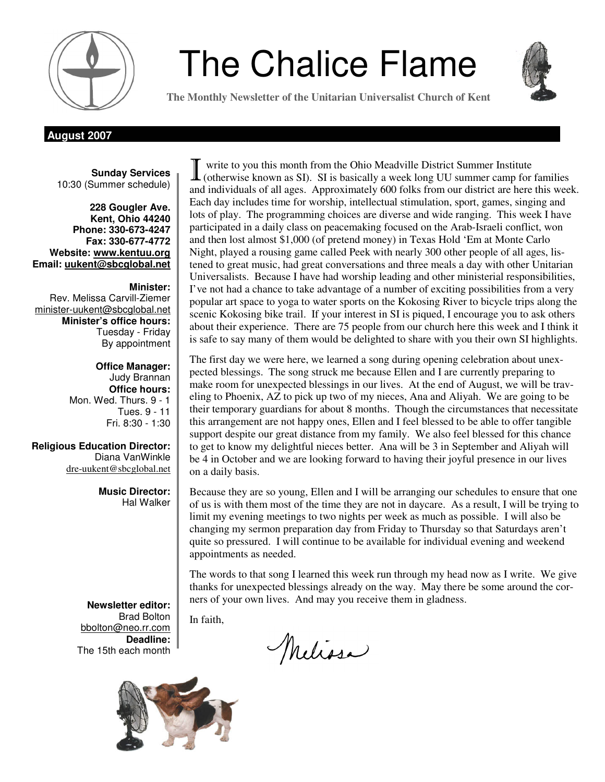

# **The Chalice Flame**



**The Monthly Newsletter of the Unitarian Universalist Church of Kent** 

**August 2007** 

**Sunday Services**  10:30 (Summer schedule)

**228 Gougler Ave. Kent, Ohio 44240 Phone: 330-673-4247 Fax: 330-677-4772 Website: www.kentuu.org Email: uukent@sbcglobal.net**

**Minister:**  Rev. Melissa Carvill-Ziemer minister-uukent@sbcglobal.net **Minister's office hours:**  Tuesday - Friday By appointment

> **Office Manager:** Judy Brannan **Office hours:** Mon. Wed. Thurs. 9 - 1 Tues. 9 - 11 Fri. 8:30 - 1:30

**Religious Education Director:**  Diana VanWinkle dre-uukent@sbcglobal.net

> **Music Director:**  Hal Walker

**Newsletter editor:**  Brad Bolton bbolton@neo.rr.com **Deadline:**  The 15th each month



The first day we were here, we learned a song during opening celebration about unexpected blessings. The song struck me because Ellen and I are currently preparing to make room for unexpected blessings in our lives. At the end of August, we will be traveling to Phoenix, AZ to pick up two of my nieces, Ana and Aliyah. We are going to be their temporary guardians for about 8 months. Though the circumstances that necessitate this arrangement are not happy ones, Ellen and I feel blessed to be able to offer tangible support despite our great distance from my family. We also feel blessed for this chance to get to know my delightful nieces better. Ana will be 3 in September and Aliyah will be 4 in October and we are looking forward to having their joyful presence in our lives on a daily basis.

Because they are so young, Ellen and I will be arranging our schedules to ensure that one of us is with them most of the time they are not in daycare. As a result, I will be trying to limit my evening meetings to two nights per week as much as possible. I will also be changing my sermon preparation day from Friday to Thursday so that Saturdays aren't quite so pressured. I will continue to be available for individual evening and weekend appointments as needed.

The words to that song I learned this week run through my head now as I write. We give thanks for unexpected blessings already on the way. May there be some around the corners of your own lives. And may you receive them in gladness.

In faith,

Melissa

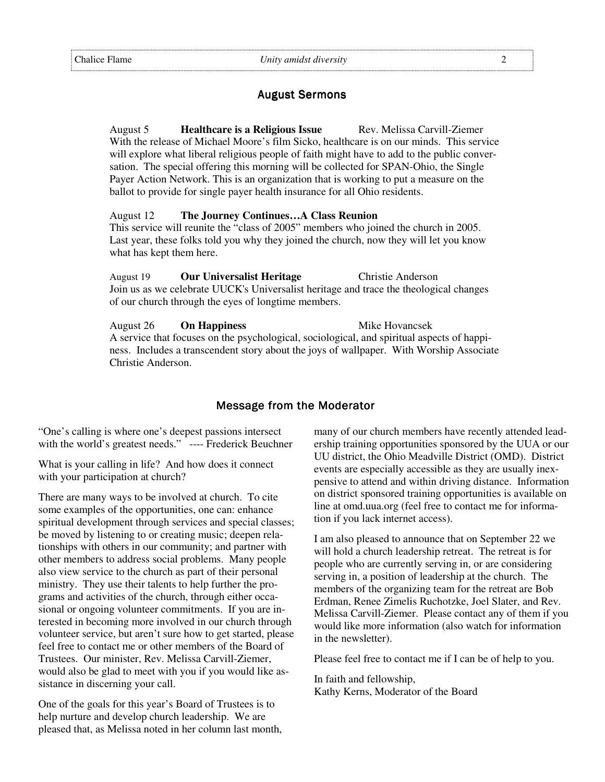#### **August Sermons**

August 5 **Healthcare is a Religious Issue** Rev. Melissa Carvill-Ziemer With the release of Michael Moore's film Sicko, healthcare is on our minds. This service will explore what liberal religious people of faith might have to add to the public conversation. The special offering this morning will be collected for SPAN-Ohio, the Single Payer Action Network. This is an organization that is working to put a measure on the ballot to provide for single payer health insurance for all Ohio residents.

#### August 12 **The Journey Continues…A Class Reunion**

This service will reunite the "class of 2005" members who joined the church in 2005. Last year, these folks told you why they joined the church, now they will let you know what has kept them here.

August 19 **Our Universalist Heritage** Christie Anderson Join us as we celebrate UUCK's Universalist heritage and trace the theological changes of our church through the eyes of longtime members.

August 26 **On Happiness** Mike Hovancsek A service that focuses on the psychological, sociological, and spiritual aspects of happiness. Includes a transcendent story about the joys of wallpaper. With Worship Associate Christie Anderson.

#### Message from the Moderator

"One's calling is where one's deepest passions intersect with the world's greatest needs." ---- Frederick Beuchner

What is your calling in life? And how does it connect with your participation at church?

There are many ways to be involved at church. To cite some examples of the opportunities, one can: enhance spiritual development through services and special classes; be moved by listening to or creating music; deepen relationships with others in our community; and partner with other members to address social problems. Many people also view service to the church as part of their personal ministry. They use their talents to help further the programs and activities of the church, through either occasional or ongoing volunteer commitments. If you are interested in becoming more involved in our church through volunteer service, but aren't sure how to get started, please feel free to contact me or other members of the Board of Trustees. Our minister, Rev. Melissa Carvill-Ziemer, would also be glad to meet with you if you would like assistance in discerning your call.

One of the goals for this year's Board of Trustees is to help nurture and develop church leadership. We are pleased that, as Melissa noted in her column last month,

many of our church members have recently attended leadership training opportunities sponsored by the UUA or our UU district, the Ohio Meadville District (OMD). District events are especially accessible as they are usually inexpensive to attend and within driving distance. Information on district sponsored training opportunities is available on line at omd.uua.org (feel free to contact me for information if you lack internet access).

I am also pleased to announce that on September 22 we will hold a church leadership retreat. The retreat is for people who are currently serving in, or are considering serving in, a position of leadership at the church. The members of the organizing team for the retreat are Bob Erdman, Renee Zimelis Ruchotzke, Joel Slater, and Rev. Melissa Carvill-Ziemer. Please contact any of them if you would like more information (also watch for information in the newsletter).

Please feel free to contact me if I can be of help to you.

In faith and fellowship, Kathy Kerns, Moderator of the Board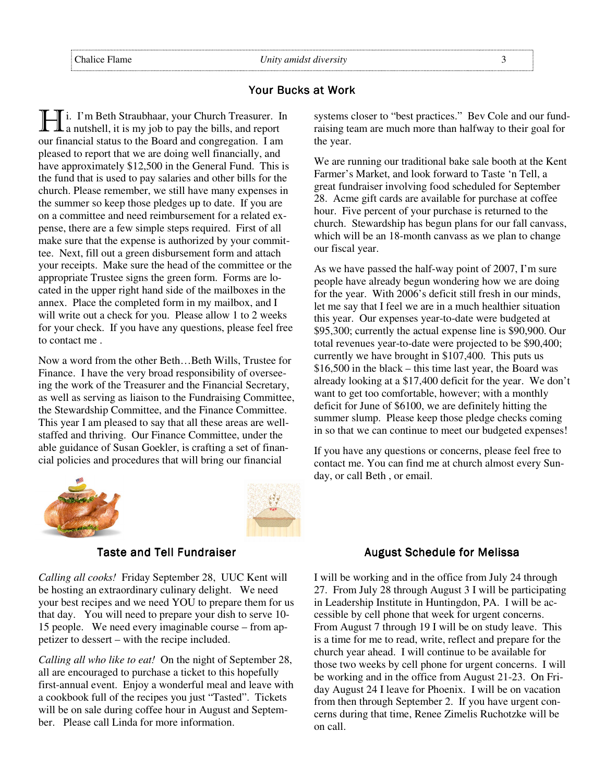## Your Bucks at Work

I i. I'm Beth Straubhaar, your Church Treasurer. In  $\mathbf 1$  a nutshell, it is my job to pay the bills, and report our financial status to the Board and congregation. I am pleased to report that we are doing well financially, and have approximately \$12,500 in the General Fund. This is the fund that is used to pay salaries and other bills for the church. Please remember, we still have many expenses in the summer so keep those pledges up to date. If you are on a committee and need reimbursement for a related expense, there are a few simple steps required. First of all make sure that the expense is authorized by your committee. Next, fill out a green disbursement form and attach your receipts. Make sure the head of the committee or the appropriate Trustee signs the green form. Forms are located in the upper right hand side of the mailboxes in the annex. Place the completed form in my mailbox, and I will write out a check for you. Please allow 1 to 2 weeks for your check. If you have any questions, please feel free to contact me .

Now a word from the other Beth…Beth Wills, Trustee for Finance. I have the very broad responsibility of overseeing the work of the Treasurer and the Financial Secretary, as well as serving as liaison to the Fundraising Committee, the Stewardship Committee, and the Finance Committee. This year I am pleased to say that all these areas are wellstaffed and thriving. Our Finance Committee, under the able guidance of Susan Goekler, is crafting a set of financial policies and procedures that will bring our financial





#### **Taste and Tell Fundraiser**

*Calling all cooks!* Friday September 28, UUC Kent will be hosting an extraordinary culinary delight. We need your best recipes and we need YOU to prepare them for us that day. You will need to prepare your dish to serve 10- 15 people. We need every imaginable course – from appetizer to dessert – with the recipe included.

*Calling all who like to eat!* On the night of September 28, all are encouraged to purchase a ticket to this hopefully first-annual event. Enjoy a wonderful meal and leave with a cookbook full of the recipes you just "Tasted". Tickets will be on sale during coffee hour in August and September. Please call Linda for more information.

systems closer to "best practices." Bev Cole and our fundraising team are much more than halfway to their goal for the year.

We are running our traditional bake sale booth at the Kent Farmer's Market, and look forward to Taste 'n Tell, a great fundraiser involving food scheduled for September 28. Acme gift cards are available for purchase at coffee hour. Five percent of your purchase is returned to the church. Stewardship has begun plans for our fall canvass, which will be an 18-month canvass as we plan to change our fiscal year.

As we have passed the half-way point of 2007, I'm sure people have already begun wondering how we are doing for the year. With 2006's deficit still fresh in our minds, let me say that I feel we are in a much healthier situation this year. Our expenses year-to-date were budgeted at \$95,300; currently the actual expense line is \$90,900. Our total revenues year-to-date were projected to be \$90,400; currently we have brought in \$107,400. This puts us \$16,500 in the black – this time last year, the Board was already looking at a \$17,400 deficit for the year. We don't want to get too comfortable, however; with a monthly deficit for June of \$6100, we are definitely hitting the summer slump. Please keep those pledge checks coming in so that we can continue to meet our budgeted expenses!

If you have any questions or concerns, please feel free to contact me. You can find me at church almost every Sunday, or call Beth , or email.

#### August Schedule for Melissa

I will be working and in the office from July 24 through 27. From July 28 through August 3 I will be participating in Leadership Institute in Huntingdon, PA. I will be accessible by cell phone that week for urgent concerns. From August 7 through 19 I will be on study leave. This is a time for me to read, write, reflect and prepare for the church year ahead. I will continue to be available for those two weeks by cell phone for urgent concerns. I will be working and in the office from August 21-23. On Friday August 24 I leave for Phoenix. I will be on vacation from then through September 2. If you have urgent concerns during that time, Renee Zimelis Ruchotzke will be on call.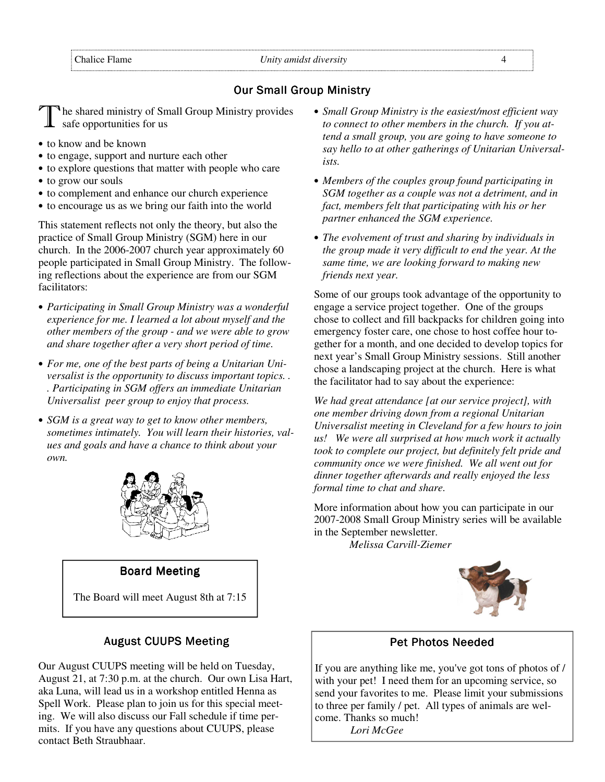## **Our Small Group Ministry**

he shared ministry of Small Group Ministry provides safe opportunities for us

- to know and be known
- to engage, support and nurture each other
- to explore questions that matter with people who care
- to grow our souls
- to complement and enhance our church experience
- to encourage us as we bring our faith into the world

This statement reflects not only the theory, but also the practice of Small Group Ministry (SGM) here in our church. In the 2006-2007 church year approximately 60 people participated in Small Group Ministry. The following reflections about the experience are from our SGM facilitators:

- *Participating in Small Group Ministry was a wonderful experience for me. I learned a lot about myself and the other members of the group - and we were able to grow and share together after a very short period of time.*
- *For me, one of the best parts of being a Unitarian Universalist is the opportunity to discuss important topics. . . Participating in SGM offers an immediate Unitarian Universalist peer group to enjoy that process.*
- *SGM is a great way to get to know other members, sometimes intimately. You will learn their histories, values and goals and have a chance to think about your own.*



#### **Board Meeting**

The Board will meet August 8th at 7:15

#### **August CUUPS Meeting**

Our August CUUPS meeting will be held on Tuesday, August 21, at 7:30 p.m. at the church. Our own Lisa Hart, aka Luna, will lead us in a workshop entitled Henna as Spell Work. Please plan to join us for this special meeting. We will also discuss our Fall schedule if time permits. If you have any questions about CUUPS, please contact Beth Straubhaar.

- *Small Group Ministry is the easiest/most efficient way to connect to other members in the church. If you attend a small group, you are going to have someone to say hello to at other gatherings of Unitarian Universalists.*
- *Members of the couples group found participating in SGM together as a couple was not a detriment, and in fact, members felt that participating with his or her partner enhanced the SGM experience.*
- *The evolvement of trust and sharing by individuals in the group made it very difficult to end the year. At the same time, we are looking forward to making new friends next year.*

Some of our groups took advantage of the opportunity to engage a service project together. One of the groups chose to collect and fill backpacks for children going into emergency foster care, one chose to host coffee hour together for a month, and one decided to develop topics for next year's Small Group Ministry sessions. Still another chose a landscaping project at the church. Here is what the facilitator had to say about the experience:

*We had great attendance [at our service project], with one member driving down from a regional Unitarian Universalist meeting in Cleveland for a few hours to join us! We were all surprised at how much work it actually took to complete our project, but definitely felt pride and community once we were finished. We all went out for dinner together afterwards and really enjoyed the less formal time to chat and share.*

More information about how you can participate in our 2007-2008 Small Group Ministry series will be available in the September newsletter.

*Melissa Carvill-Ziemer* 



## Pet Photos Needed

If you are anything like me, you've got tons of photos of / with your pet! I need them for an upcoming service, so send your favorites to me. Please limit your submissions to three per family / pet. All types of animals are welcome. Thanks so much! *Lori McGee*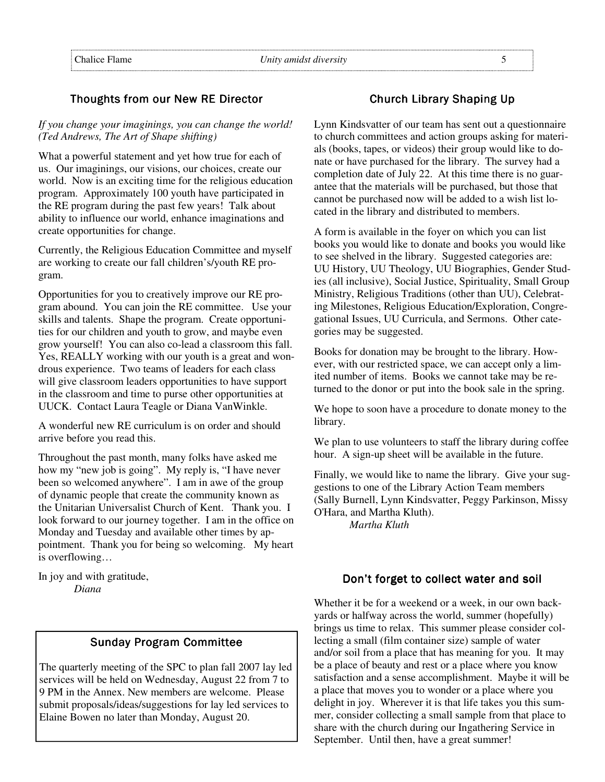## Thoughts from our New RE Director

*If you change your imaginings, you can change the world! (Ted Andrews, The Art of Shape shifting)* 

What a powerful statement and yet how true for each of us. Our imaginings, our visions, our choices, create our world. Now is an exciting time for the religious education program. Approximately 100 youth have participated in the RE program during the past few years! Talk about ability to influence our world, enhance imaginations and create opportunities for change.

Currently, the Religious Education Committee and myself are working to create our fall children's/youth RE program.

Opportunities for you to creatively improve our RE program abound. You can join the RE committee. Use your skills and talents. Shape the program. Create opportunities for our children and youth to grow, and maybe even grow yourself! You can also co-lead a classroom this fall. Yes, REALLY working with our youth is a great and wondrous experience. Two teams of leaders for each class will give classroom leaders opportunities to have support in the classroom and time to purse other opportunities at UUCK. Contact Laura Teagle or Diana VanWinkle.

A wonderful new RE curriculum is on order and should arrive before you read this.

Throughout the past month, many folks have asked me how my "new job is going". My reply is, "I have never been so welcomed anywhere". I am in awe of the group of dynamic people that create the community known as the Unitarian Universalist Church of Kent. Thank you. I look forward to our journey together. I am in the office on Monday and Tuesday and available other times by appointment. Thank you for being so welcoming. My heart is overflowing…

In joy and with gratitude, *Diana* 

## **Sunday Program Committee**

The quarterly meeting of the SPC to plan fall 2007 lay led services will be held on Wednesday, August 22 from 7 to 9 PM in the Annex. New members are welcome. Please submit proposals/ideas/suggestions for lay led services to Elaine Bowen no later than Monday, August 20.

### Church Library Shaping Up

Lynn Kindsvatter of our team has sent out a questionnaire to church committees and action groups asking for materials (books, tapes, or videos) their group would like to donate or have purchased for the library. The survey had a completion date of July 22. At this time there is no guarantee that the materials will be purchased, but those that cannot be purchased now will be added to a wish list located in the library and distributed to members.

A form is available in the foyer on which you can list books you would like to donate and books you would like to see shelved in the library. Suggested categories are: UU History, UU Theology, UU Biographies, Gender Studies (all inclusive), Social Justice, Spirituality, Small Group Ministry, Religious Traditions (other than UU), Celebrating Milestones, Religious Education/Exploration, Congregational Issues, UU Curricula, and Sermons. Other categories may be suggested.

Books for donation may be brought to the library. However, with our restricted space, we can accept only a limited number of items. Books we cannot take may be returned to the donor or put into the book sale in the spring.

We hope to soon have a procedure to donate money to the library.

We plan to use volunteers to staff the library during coffee hour. A sign-up sheet will be available in the future.

Finally, we would like to name the library. Give your suggestions to one of the Library Action Team members (Sally Burnell, Lynn Kindsvatter, Peggy Parkinson, Missy O'Hara, and Martha Kluth).

*Martha Kluth*

#### Don't forget to collect water and soil

Whether it be for a weekend or a week, in our own backyards or halfway across the world, summer (hopefully) brings us time to relax. This summer please consider collecting a small (film container size) sample of water and/or soil from a place that has meaning for you. It may be a place of beauty and rest or a place where you know satisfaction and a sense accomplishment. Maybe it will be a place that moves you to wonder or a place where you delight in joy. Wherever it is that life takes you this summer, consider collecting a small sample from that place to share with the church during our Ingathering Service in September. Until then, have a great summer!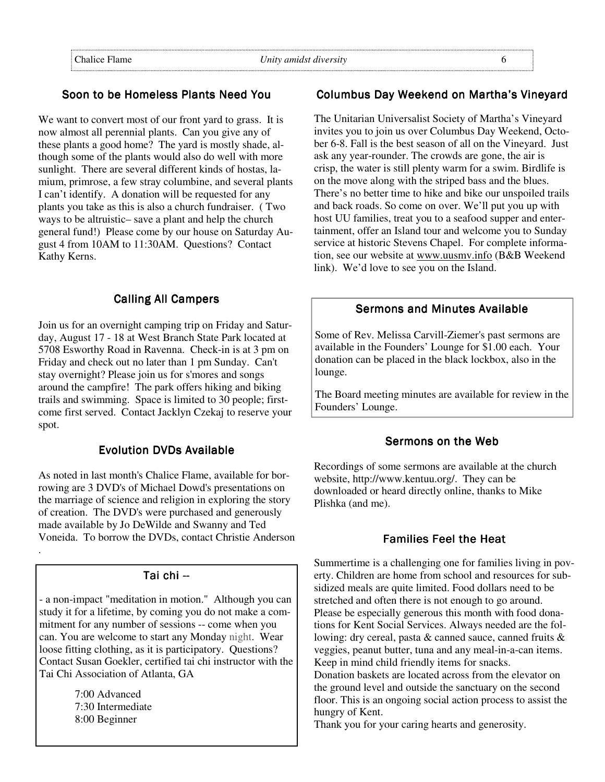## Soon to be Homeless Plants Need You

We want to convert most of our front yard to grass. It is now almost all perennial plants. Can you give any of these plants a good home? The yard is mostly shade, although some of the plants would also do well with more sunlight. There are several different kinds of hostas, lamium, primrose, a few stray columbine, and several plants I can't identify. A donation will be requested for any plants you take as this is also a church fundraiser. ( Two ways to be altruistic– save a plant and help the church general fund!) Please come by our house on Saturday August 4 from 10AM to 11:30AM. Questions? Contact Kathy Kerns.

#### **Calling All Campers**

Join us for an overnight camping trip on Friday and Saturday, August 17 - 18 at West Branch State Park located at 5708 Esworthy Road in Ravenna. Check-in is at 3 pm on Friday and check out no later than 1 pm Sunday. Can't stay overnight? Please join us for s'mores and songs around the campfire! The park offers hiking and biking trails and swimming. Space is limited to 30 people; firstcome first served. Contact Jacklyn Czekaj to reserve your spot.

#### Evolution DVDs Available

As noted in last month's Chalice Flame, available for borrowing are 3 DVD's of Michael Dowd's presentations on the marriage of science and religion in exploring the story of creation. The DVD's were purchased and generously made available by Jo DeWilde and Swanny and Ted Voneida. To borrow the DVDs, contact Christie Anderson

#### Tai chi --

- a non-impact "meditation in motion." Although you can study it for a lifetime, by coming you do not make a commitment for any number of sessions -- come when you can. You are welcome to start any Monday night. Wear loose fitting clothing, as it is participatory. Questions? Contact Susan Goekler, certified tai chi instructor with the Tai Chi Association of Atlanta, GA

> 7:00 Advanced 7:30 Intermediate 8:00 Beginner

.

#### Columbus Day Weekend on Martha's Vineyard

The Unitarian Universalist Society of Martha's Vineyard invites you to join us over Columbus Day Weekend, October 6-8. Fall is the best season of all on the Vineyard. Just ask any year-rounder. The crowds are gone, the air is crisp, the water is still plenty warm for a swim. Birdlife is on the move along with the striped bass and the blues. There's no better time to hike and bike our unspoiled trails and back roads. So come on over. We'll put you up with host UU families, treat you to a seafood supper and entertainment, offer an Island tour and welcome you to Sunday service at historic Stevens Chapel. For complete information, see our website at www.uusmv.info (B&B Weekend link). We'd love to see you on the Island.

## Sermons and Minutes Available

Some of Rev. Melissa Carvill-Ziemer's past sermons are available in the Founders' Lounge for \$1.00 each. Your donation can be placed in the black lockbox, also in the lounge.

The Board meeting minutes are available for review in the Founders' Lounge.

#### Sermons on the Web

Recordings of some sermons are available at the church website, http://www.kentuu.org/. They can be downloaded or heard directly online, thanks to Mike Plishka (and me).

#### **Families Feel the Heat**

Summertime is a challenging one for families living in poverty. Children are home from school and resources for subsidized meals are quite limited. Food dollars need to be stretched and often there is not enough to go around. Please be especially generous this month with food donations for Kent Social Services. Always needed are the following: dry cereal, pasta & canned sauce, canned fruits & veggies, peanut butter, tuna and any meal-in-a-can items. Keep in mind child friendly items for snacks.

Donation baskets are located across from the elevator on the ground level and outside the sanctuary on the second floor. This is an ongoing social action process to assist the hungry of Kent.

Thank you for your caring hearts and generosity.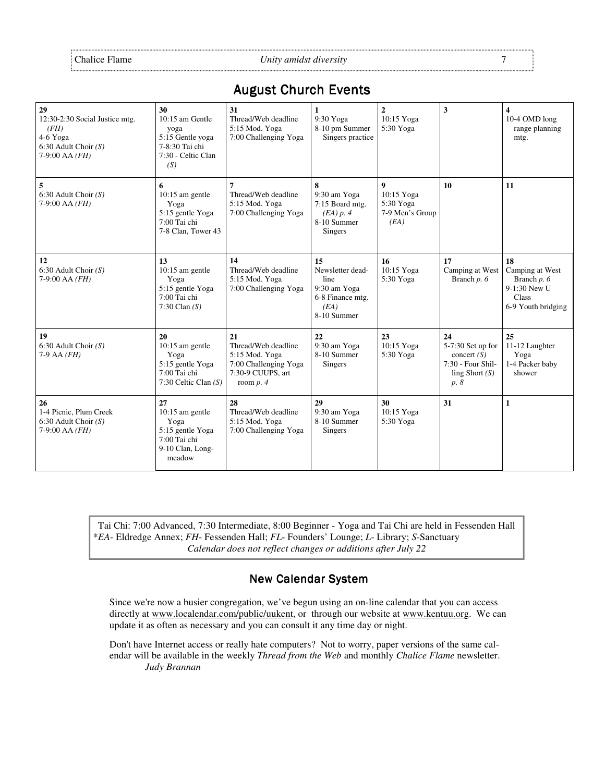Chalice Flame *Unity amidst diversity* 7

**29**  12:30-2:30 Social Justice mtg. *(FH)*  4-6 Yoga 6:30 Adult Choir *(S)* 7-9:00 AA *(FH)*  **30**  10:15 am Gentle yoga 5:15 Gentle yoga 7-8:30 Tai chi 7:30 - Celtic Clan *(S)*  **31**  Thread/Web deadline 5:15 Mod. Yoga 7:00 Challenging Yoga **1**  9:30 Yoga 8-10 pm Summer Singers practice **2**  10:15 Yoga 5:30 Yoga **3 4**  10-4 OMD long range planning mtg. **5**  6:30 Adult Choir *(S)* 7-9:00 AA *(FH)* **6**  10:15 am gentle Yoga 5:15 gentle Yoga 7:00 Tai chi 7-8 Clan, Tower 43 **7**  Thread/Web deadline 5:15 Mod. Yoga 7:00 Challenging Yoga **8**  9:30 am Yoga 7:15 Board mtg. *(EA) p. 4* 8-10 Summer Singers **9**  10:15 Yoga 5:30 Yoga 7-9 Men's Group *(EA)* **10 11 12** 6:30 Adult Choir *(S)*  7-9:00 AA *(FH)*  **13**  10:15 am gentle Yoga 5:15 gentle Yoga 7:00 Tai chi 7:30 Clan *(S)* **14**  Thread/Web deadline 5:15 Mod. Yoga 7:00 Challenging Yoga **15**  Newsletter deadline 9:30 am Yoga 6-8 Finance mtg. *(EA)* 8-10 Summer **16**  10:15 Yoga 5:30 Yoga **17**  Camping at West Branch *p. 6* **18**  Camping at West Branch *p. 6*  9-1:30 New U Class 6-9 Youth bridging **19**  6:30 Adult Choir *(S)*  7-9 AA *(FH)*  **20** 10:15 am gentle Yoga 5:15 gentle Yoga 7:00 Tai chi 7:30 Celtic Clan *(S)*  **21**  Thread/Web deadline 5:15 Mod. Yoga 7:00 Challenging Yoga 7:30-9 CUUPS, art room *p. 4* **22**  9:30 am Yoga 8-10 Summer Singers **23**  10:15 Yoga 5:30 Yoga **24**  5-7:30 Set up for concert *(S)* 7:30 - Four Shilling Short *(S) p. 8* **25**  11-12 Laughter Yoga 1-4 Packer baby shower **26**  1-4 Picnic, Plum Creek 6:30 Adult Choir *(S)* 7-9:00 AA *(FH)*  **27**  10:15 am gentle Yoga 5:15 gentle Yoga 7:00 Tai chi 9-10 Clan, Longmeadow **28**  Thread/Web deadline 5:15 Mod. Yoga 7:00 Challenging Yoga **29**  9:30 am Yoga 8-10 Summer Singers **30**  10:15 Yoga 5:30 Yoga **31** 1

## **August Church Events**

Tai Chi: 7:00 Advanced, 7:30 Intermediate, 8:00 Beginner - Yoga and Tai Chi are held in Fessenden Hall \**EA*- Eldredge Annex; *FH*- Fessenden Hall; *FL*- Founders' Lounge; *L*- Library; *S*-Sanctuary *Calendar does not reflect changes or additions after July 22*

## **New Calendar System**

Since we're now a busier congregation, we've begun using an on-line calendar that you can access directly at www.localendar.com/public/uukent, or through our website at www.kentuu.org. We can update it as often as necessary and you can consult it any time day or night.

Don't have Internet access or really hate computers? Not to worry, paper versions of the same calendar will be available in the weekly *Thread from the Web* and monthly *Chalice Flame* newsletter.  *Judy Brannan*